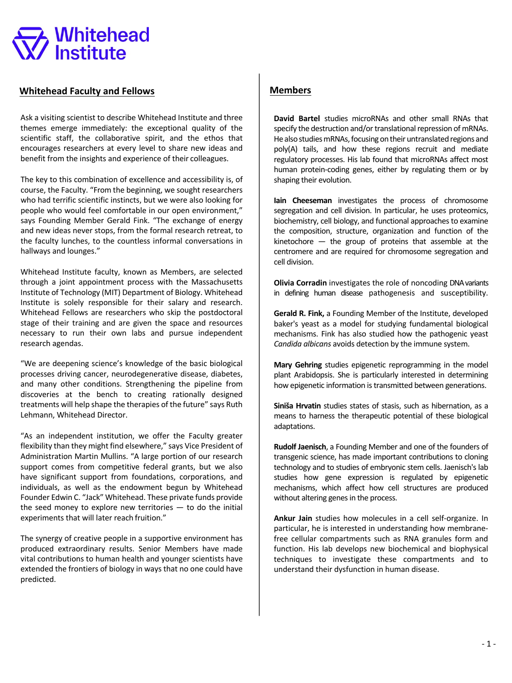# **Whitehead**

## **Whitehead Faculty and Fellows**

Ask a visiting scientist to describe Whitehead Institute and three themes emerge immediately: the exceptional quality of the scientific staff, the collaborative spirit, and the ethos that encourages researchers at every level to share new ideas and benefit from the insights and experience of their colleagues.

The key to this combination of excellence and accessibility is, of course, the Faculty. "From the beginning, we sought researchers who had terrific scientific instincts, but we were also looking for people who would feel comfortable in our open environment," says Founding Member Gerald Fink. "The exchange of energy and new ideas never stops, from the formal research retreat, to the faculty lunches, to the countless informal conversations in hallways and lounges."

Whitehead Institute faculty, known as Members, are selected through a joint appointment process with the Massachusetts Institute of Technology (MIT) Department of Biology. Whitehead Institute is solely responsible for their salary and research. Whitehead Fellows are researchers who skip the postdoctoral stage of their training and are given the space and resources necessary to run their own labs and pursue independent research agendas.

"We are deepening science's knowledge of the basic biological processes driving cancer, neurodegenerative disease, diabetes, and many other conditions. Strengthening the pipeline from discoveries at the bench to creating rationally designed treatments will help shape the therapies of the future" says Ruth Lehmann, Whitehead Director.

"As an independent institution, we offer the Faculty greater flexibility than they might find elsewhere," says Vice President of Administration Martin Mullins. "A large portion of our research support comes from competitive federal grants, but we also have significant support from foundations, corporations, and individuals, as well as the endowment begun by Whitehead Founder Edwin C. "Jack" Whitehead. These private funds provide the seed money to explore new territories  $-$  to do the initial experiments that will later reach fruition."

The synergy of creative people in a supportive environment has produced extraordinary results. Senior Members have made vital contributions to human health and younger scientists have extended the frontiers of biology in ways that no one could have predicted.

# **Members**

**David Bartel** studies microRNAs and other small RNAs that specify the destruction and/or translational repression of mRNAs. He also studies mRNAs, focusing on their untranslated regions and poly(A) tails, and how these regions recruit and mediate regulatory processes. His lab found that microRNAs affect most human protein-coding genes, either by regulating them or by shaping their evolution.

**Iain Cheeseman** investigates the process of chromosome segregation and cell division. In particular, he uses proteomics, biochemistry, cell biology, and functional approaches to examine the composition, structure, organization and function of the kinetochore  $-$  the group of proteins that assemble at the centromere and are required for chromosome segregation and cell division.

**Olivia Corradin** investigates the role of noncoding DNA variants in defining human disease pathogenesis and susceptibility.

**Gerald R. Fink,** a Founding Member of the Institute, developed baker's yeast as a model for studying fundamental biological mechanisms. Fink has also studied how the pathogenic yeast *Candida albicans* avoids detection by the immune system.

**Mary Gehring** studies epigenetic reprogramming in the model plant Arabidopsis. She is particularly interested in determining how epigenetic information is transmitted between generations.

**Siniša Hrvatin** studies states of stasis, such as hibernation, as a means to harness the therapeutic potential of these biological adaptations.

**Rudolf Jaenisch**, a Founding Member and one of the founders of transgenic science, has made important contributions to cloning technology and to studies of embryonic stem cells. Jaenisch's lab studies how gene expression is regulated by epigenetic mechanisms, which affect how cell structures are produced without altering genes in the process.

**Ankur Jain** studies how molecules in a cell self-organize. In particular, he is interested in understanding how membranefree cellular compartments such as RNA granules form and function. His lab develops new biochemical and biophysical techniques to investigate these compartments and to understand their dysfunction in human disease.